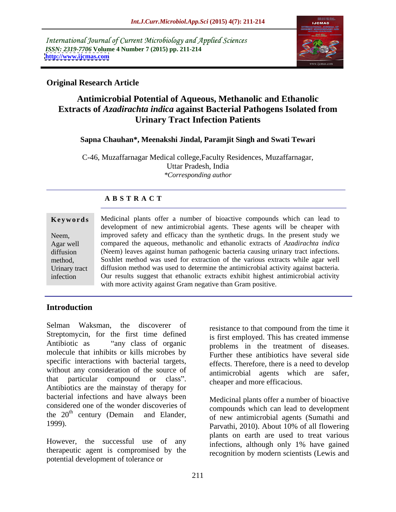International Journal of Current Microbiology and Applied Sciences *ISSN: 2319-7706* **Volume 4 Number 7 (2015) pp. 211-214 <http://www.ijcmas.com>**



# **Original Research Article**

# **Antimicrobial Potential of Aqueous, Methanolic and Ethanolic Extracts of** *Azadirachta indica* **against Bacterial Pathogens Isolated from Urinary Tract Infection Patients**

# **Sapna Chauhan\*, Meenakshi Jindal, Paramjit Singh and Swati Tewari**

C-46, Muzaffarnagar Medical college,Faculty Residences, Muzaffarnagar, Uttar Pradesh, India *\*Corresponding author*

# **A B S T R A C T**

**Keywords** Medicinal plants offer a number of bioactive compounds which can lead to development of new antimicrobial agents. These agents will be cheaper with Neem, improved safety and efficacy than the synthetic drugs. In the present study we compared the aqueous, methanolic and ethanolic extracts of *Azadirachta indica* Agar well diffusion (Neem) leaves against human pathogenic bacteria causing urinary tract infections. Soxhlet method was used for extraction of the various extracts while agar well method, Urinary tract diffusion method was used to determine the antimicrobial activity against bacteria. Our results suggest that ethanolic extracts exhibit highest antimicrobial activity with more activity against Gram negative than Gram positive. infection

# **Introduction**

Selman Waksman, the discoverer of resistance to that compound from the time it Streptomycin, for the first time defined Antibiotic as "any class of organic problems in the treatment of diseases. molecule that inhibits or kills microbes by specific interactions with bacterial targets, without any consideration of the source of that particular compound or class". Cheaper and more efficacious Antibiotics are the mainstay of therapy for bacterial infections and have always been considered one of the wonder discoveries of the  $20<sup>th</sup>$  century (Demain and Elander,  $\frac{1}{20}$  of new antimicrobial agents (Sumathi and

therapeutic agent is compromised by the potential development of tolerance or

is first employed. This has created immense Further these antibiotics have several side effects. Therefore, there is a need to develop antimicrobial agents which are safer, cheaper and more efficacious.

century (Demain and Elander, of new antimicrobial agents (Sumathi and 1999).<br>
Parvathi, 2010). About 10% of all flowering<br>
However, the successful use of any infections although only 1% have gained Medicinal plants offer a number of bioactive compounds which can lead to development Parvathi, 2010). About 10% of all flowering plants on earth are used to treat various infections, although only 1% have gained recognition by modern scientists (Lewis and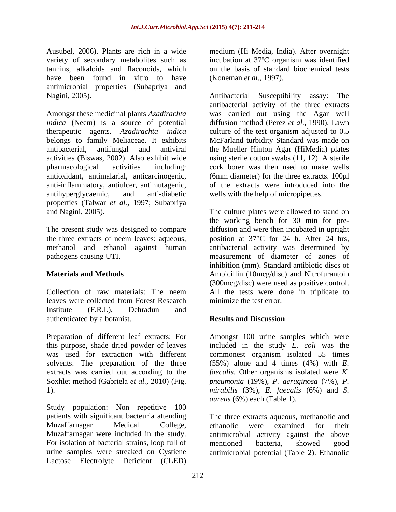Ausubel, 2006). Plants are rich in a wide medium (Hi Media, India). After overnight variety of secondary metabolites such as incubation at 37<sup>o</sup>C organism was identified tannins, alkaloids and flaconoids, which on the basis of standard biochemical tests have been found in vitro to have (Koneman *et al.*, 1997). antimicrobial properties (Subapriya and

belongs to family Meliaceae. It exhibits antihyperglycaemic, and anti-diabetic wells with the help of micropipettes. properties (Talwar *et al.,* 1997; Subapriya

leaves were collected from Forest Research Institute (F.R.I.), Dehradun and authenticated by a botanist.

Preparation of different leaf extracts: For Amongst 100 urine samples which were this purpose, shade dried powder of leaves included in the study *E. coli* was the was used for extraction with different commonest organism isolated 55 times solvents. The preparation of the three (55%) alone and 4 times (4%) with *E.*  extracts was carried out according to the *faecalis*. Other organisms isolated were *K.* 

Study population: Non repetitive 100 Muzaffarnagar were included in the study. For isolation of bacterial strains, loop full of mentioned bacteria, showed good urine samples were streaked on Cystiene antimicrobial potential (Table 2). EthanolicLactose Electrolyte Deficient (CLED)

incubation at 37ºC organism was identified (Koneman *et al.,* 1997).

Nagini, 2005). Antibacterial Susceptibility assay: The Amongst these medicinal plants *Azadirachta*  was carried out using the Agar well *indica* (Neem) is a source of potential diffusion method (Perez *et al.,* 1990). Lawn therapeutic agents. *Azadirachta indica* culture of the test organism adjusted to 0.5 antibacterial, antifungal and antiviral the Mueller Hinton Agar (HiMedia) plates activities (Biswas, 2002). Also exhibit wide using sterile cotton swabs(11, 12). A sterile pharmacological activities including: cork borer was then used to make wells antioxidant, antimalarial, anticarcinogenic, (6mm diameter) for the three extracts. 100 µl anti-inflammatory, antiulcer, antimutagenic, of the extracts were introduced into the antibacterial activity of the three extracts McFarland turbidity Standard was made on

and Nagini, 2005). The culture plates were allowed to stand on The present study was designed to compare diffusion and were then incubated in upright the three extracts of neem leaves: aqueous, position at 37°C for 24 h. After 24 hrs, methanol and ethanol against human antibacterial activity was determined by pathogens causing UTI. measurement of diameter of zones of **Materials and Methods Ampicillin** (10mcg/disc) and Nitrofurantoin Collection of raw materials: The neem All the tests were done in triplicate to the working bench for 30 min for pre inhibition (mm). Standard antibiotic discs of (300mcg/disc) were used as positive control. minimize the test error.

# **Results and Discussion**

Soxhlet method (Gabriela *et al.*, 2010) (Fig. preumonia (19%), P. aeruginosa (7%), P.<br>1). Inirabilis (3%), E. faecalis (6%) and S. *pneumonia* (19%), *P. aeruginosa* (7%), *P. mirabilis* (3%), *E. faecalis* (6%) and *S. aureus* (6%) each (Table 1).

patients with significant bacteuria attending The three extracts aqueous, methanolic and Muzaffarnagar Medical College, ethanolic were examined for their antimicrobial activity against the above mentioned bacteria, showed good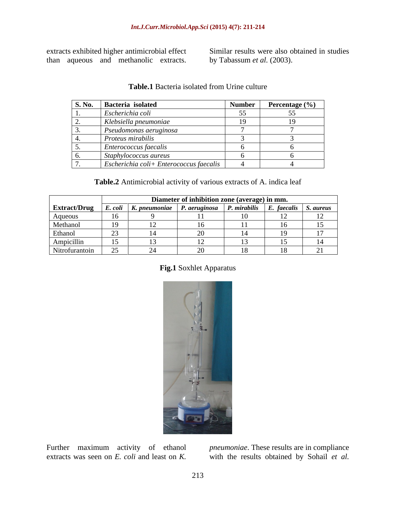extracts exhibited higher antimicrobial effect<br>than aqueous and methanolic extracts. by Tabassum *et al.* (2003). extracts exhibited higher antimicrobial effect Similar results were also obtained in studies<br>than aqueous and methanolic extracts. by Tabassum *et al.* (2003). by Tabassum *et al.* (2003).

| <b>S. No.</b> | Bacteria isolated                                       | <b>Number</b> | Percentage $(\% )$ |
|---------------|---------------------------------------------------------|---------------|--------------------|
| . .           | Escherichia coli                                        | JJ.           |                    |
| <u>.</u>      | Klebsiella pneumoniae                                   | 19            |                    |
|               | Pseudomonas aeruginosa                                  |               |                    |
| ┭.            | Proteus mirabilis                                       |               |                    |
|               | <i>Enterococcus faecalis</i>                            |               |                    |
|               | Staphylococcus aureus                                   |               |                    |
|               | $\vert$ Escherichia coli+ Enterococcus faecalis $\vert$ |               |                    |

### **Table.1** Bacteria isolated from Urine culture

### **Table.2** Antimicrobial activity of various extracts of A. indica leaf

|                     | Diameter of inhibition zone (average) in mm. |                                     |                      |              |                         |  |
|---------------------|----------------------------------------------|-------------------------------------|----------------------|--------------|-------------------------|--|
| <b>Extract/Drug</b> |                                              | $\mid$ E. coli $\mid$ K. pneumoniae | $\mid$ P. aeruginosa | P. mirabilis | E. faecalis   S. aureus |  |
| Aqueous             |                                              |                                     |                      |              |                         |  |
| Methanol            |                                              |                                     |                      |              |                         |  |
| Ethanol             | $\sim$                                       |                                     |                      |              |                         |  |
| Ampicillin          | - -                                          |                                     |                      |              |                         |  |
| Nitrofurantoin      | $\cap$ $\subset$<br>$\overline{\phantom{a}}$ |                                     |                      |              |                         |  |

## **Fig.1** Soxhlet Apparatus



Further maximum activity of ethanol extracts was seen on  $E$ , *coli* and least on  $K$ . extracts was seen on *E. coli* and least on *K.*  with the results obtained by Sohail *et al.*

*pneumoniae*. These results are in compliance